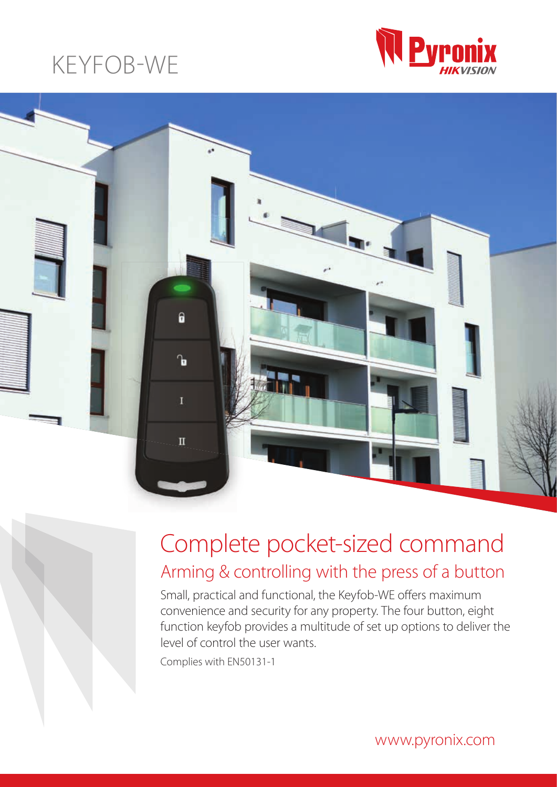## KEYFOB-WE





### Complete pocket-sized command Arming & controlling with the press of a button

Small, practical and functional, the Keyfob-WE offers maximum convenience and security for any property. The four button, eight function keyfob provides a multitude of set up options to deliver the level of control the user wants.

Complies with EN50131-1